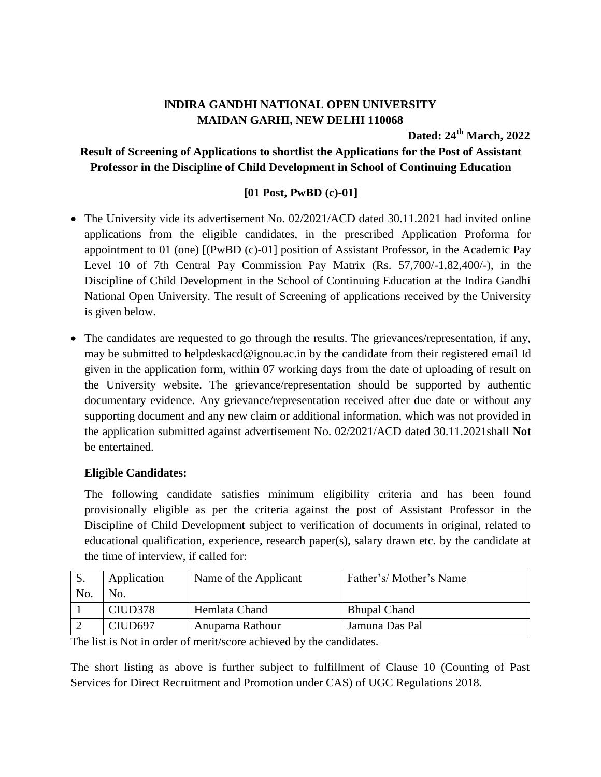# **lNDIRA GANDHI NATIONAL OPEN UNIVERSITY MAIDAN GARHI, NEW DELHI 110068**

**Dated: 24 th March, 2022**

## **Result of Screening of Applications to shortlist the Applications for the Post of Assistant Professor in the Discipline of Child Development in School of Continuing Education**

# **[01 Post, PwBD (c)-01]**

- The University vide its advertisement No. 02/2021/ACD dated 30.11.2021 had invited online applications from the eligible candidates, in the prescribed Application Proforma for appointment to 01 (one) [(PwBD (c)-01] position of Assistant Professor, in the Academic Pay Level 10 of 7th Central Pay Commission Pay Matrix (Rs. 57,700/-1,82,400/-), in the Discipline of Child Development in the School of Continuing Education at the Indira Gandhi National Open University. The result of Screening of applications received by the University is given below.
- The candidates are requested to go through the results. The grievances/representation, if any, may be submitted to helpdeskacd@ignou.ac.in by the candidate from their registered email Id given in the application form, within 07 working days from the date of uploading of result on the University website. The grievance/representation should be supported by authentic documentary evidence. Any grievance/representation received after due date or without any supporting document and any new claim or additional information, which was not provided in the application submitted against advertisement No. 02/2021/ACD dated 30.11.2021shall **Not** be entertained.

### **Eligible Candidates:**

The following candidate satisfies minimum eligibility criteria and has been found provisionally eligible as per the criteria against the post of Assistant Professor in the Discipline of Child Development subject to verification of documents in original, related to educational qualification, experience, research paper(s), salary drawn etc. by the candidate at the time of interview, if called for:

| S.  | Application | Name of the Applicant | Father's/Mother's Name |
|-----|-------------|-----------------------|------------------------|
| No. | No.         |                       |                        |
|     | CIUD378     | Hemlata Chand         | <b>Bhupal Chand</b>    |
|     | CIUD697     | Anupama Rathour       | Jamuna Das Pal         |

The list is Not in order of merit/score achieved by the candidates.

The short listing as above is further subject to fulfillment of Clause 10 (Counting of Past Services for Direct Recruitment and Promotion under CAS) of UGC Regulations 2018.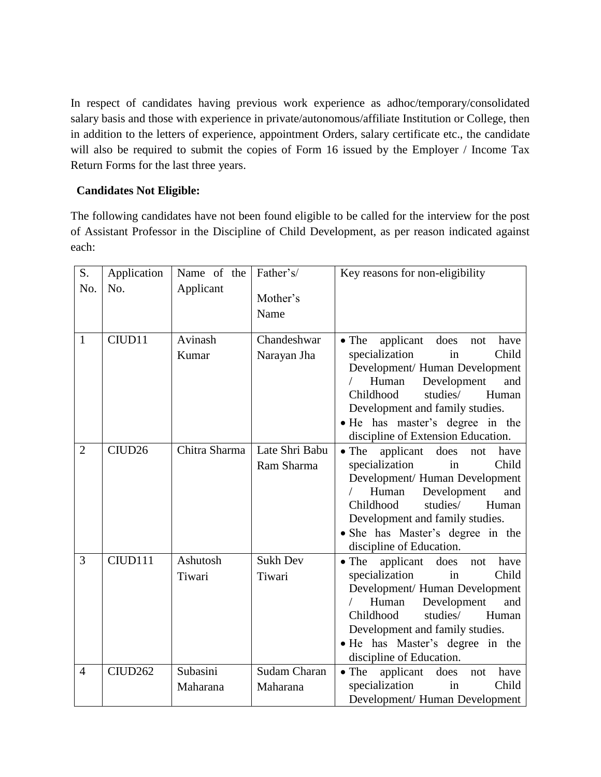In respect of candidates having previous work experience as adhoc/temporary/consolidated salary basis and those with experience in private/autonomous/affiliate Institution or College, then in addition to the letters of experience, appointment Orders, salary certificate etc., the candidate will also be required to submit the copies of Form 16 issued by the Employer / Income Tax Return Forms for the last three years.

#### **Candidates Not Eligible:**

The following candidates have not been found eligible to be called for the interview for the post of Assistant Professor in the Discipline of Child Development, as per reason indicated against each:

| S.             | Application         | Name of the          | Father's/                       | Key reasons for non-eligibility                                                                                                                                                                                                                                                                   |
|----------------|---------------------|----------------------|---------------------------------|---------------------------------------------------------------------------------------------------------------------------------------------------------------------------------------------------------------------------------------------------------------------------------------------------|
| No.            | No.                 | Applicant            | Mother's<br>Name                |                                                                                                                                                                                                                                                                                                   |
| $\mathbf{1}$   | CIUD11              | Avinash<br>Kumar     | Chandeshwar<br>Narayan Jha      | $\bullet$ The<br>does<br>applicant<br>have<br>not<br>specialization<br>Child<br>in<br>Development/ Human Development<br>Development<br>and<br>Human<br>Childhood<br>studies/<br>Human<br>Development and family studies.<br>• He has master's degree in the<br>discipline of Extension Education. |
| $\overline{2}$ | CIUD <sub>26</sub>  | Chitra Sharma        | Late Shri Babu<br>Ram Sharma    | applicant<br>$\bullet$ The<br>does<br>have<br>not<br>Child<br>specialization<br>in<br>Development/ Human Development<br>Human<br>Development<br>and<br>Childhood<br>studies/<br>Human<br>Development and family studies.<br>• She has Master's degree in the<br>discipline of Education.          |
| 3              | CIUD111             | Ashutosh<br>Tiwari   | <b>Sukh Dev</b><br>Tiwari       | applicant<br>$\bullet$ The<br>does<br>have<br>not<br>specialization<br>Child<br>in<br>Development/ Human Development<br>Human<br>Development<br>and<br>Childhood<br>studies/<br>Human<br>Development and family studies.<br>• He has Master's degree in the<br>discipline of Education.           |
| $\overline{4}$ | CIUD <sub>262</sub> | Subasini<br>Maharana | <b>Sudam Charan</b><br>Maharana | $\bullet$ The<br>applicant<br>does<br>have<br>not<br>specialization<br>Child<br>in<br>Development/ Human Development                                                                                                                                                                              |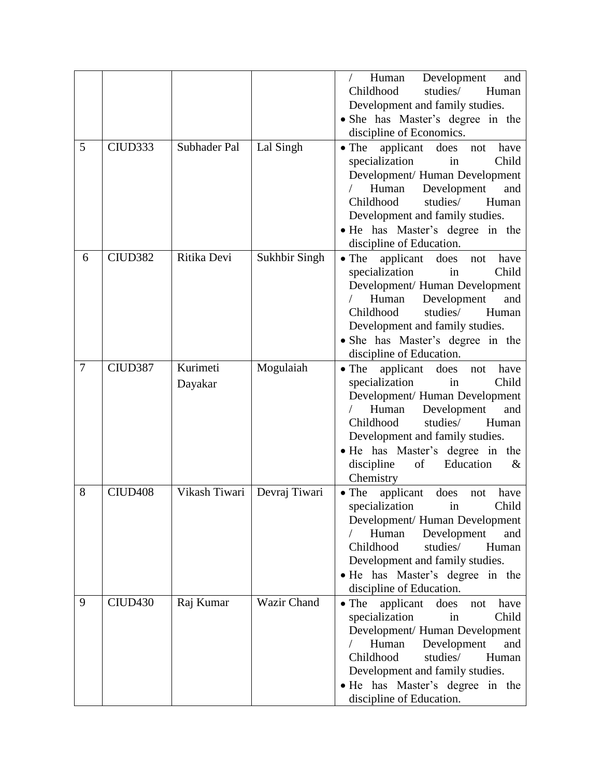|                |                     |               |               | Development<br>Human<br>and                       |
|----------------|---------------------|---------------|---------------|---------------------------------------------------|
|                |                     |               |               | Childhood<br>studies/<br>Human                    |
|                |                     |               |               | Development and family studies.                   |
|                |                     |               |               | • She has Master's degree in the                  |
|                |                     |               |               | discipline of Economics.                          |
| 5              | CIUD <sub>333</sub> |               |               |                                                   |
|                |                     | Subhader Pal  | Lal Singh     | $\bullet$ The<br>applicant<br>does<br>have<br>not |
|                |                     |               |               | specialization<br>Child<br>in                     |
|                |                     |               |               | Development/ Human Development                    |
|                |                     |               |               | Human<br>Development<br>and                       |
|                |                     |               |               | Childhood<br>studies/<br>Human                    |
|                |                     |               |               | Development and family studies.                   |
|                |                     |               |               | • He has Master's degree in the                   |
|                |                     |               |               | discipline of Education.                          |
| 6              | CIUD <sub>382</sub> | Ritika Devi   | Sukhbir Singh | $\bullet$ The<br>applicant<br>does<br>have<br>not |
|                |                     |               |               | specialization<br>Child<br>in                     |
|                |                     |               |               | Development/ Human Development                    |
|                |                     |               |               | Human<br>Development<br>and                       |
|                |                     |               |               | Childhood<br>studies/<br>Human                    |
|                |                     |               |               | Development and family studies.                   |
|                |                     |               |               | • She has Master's degree in the                  |
|                |                     |               |               | discipline of Education.                          |
| $\overline{7}$ | CIUD387             | Kurimeti      | Mogulaiah     | $\bullet$ The<br>applicant<br>does<br>have<br>not |
|                |                     | Dayakar       |               | specialization<br>Child<br>in                     |
|                |                     |               |               | Development/ Human Development                    |
|                |                     |               |               | Human<br>Development<br>and                       |
|                |                     |               |               | Childhood<br>studies/<br>Human                    |
|                |                     |               |               | Development and family studies.                   |
|                |                     |               |               | • He has Master's degree in the                   |
|                |                     |               |               | discipline<br>of<br>Education<br>$\&$             |
|                |                     |               |               | Chemistry                                         |
| 8              | CIUD <sub>408</sub> | Vikash Tiwari | Devraj Tiwari | $\bullet$ The<br>applicant<br>does<br>have        |
|                |                     |               |               | not<br>Child                                      |
|                |                     |               |               | specialization in                                 |
|                |                     |               |               | Development/ Human Development                    |
|                |                     |               |               | Development<br>Human<br>and                       |
|                |                     |               |               | Childhood<br>studies/<br>Human                    |
|                |                     |               |               | Development and family studies.                   |
|                |                     |               |               | • He has Master's degree in the                   |
|                |                     |               |               | discipline of Education.                          |
| 9              | CIUD <sub>430</sub> | Raj Kumar     | Wazir Chand   | $\bullet$ The<br>applicant<br>does<br>have<br>not |
|                |                     |               |               | specialization<br>Child<br>in                     |
|                |                     |               |               | Development/ Human Development                    |
|                |                     |               |               | Human<br>Development<br>and                       |
|                |                     |               |               | Childhood<br>studies/<br>Human                    |
|                |                     |               |               | Development and family studies.                   |
|                |                     |               |               | • He has Master's degree in the                   |
|                |                     |               |               | discipline of Education.                          |